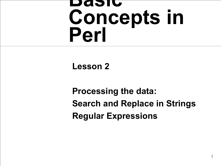#### **Basic Concepts in Perl**

#### **Lesson 2**

**Processing the data: Search and Replace in Strings Regular Expressions**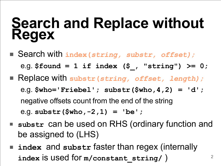#### **Search and Replace without Regex**

- Search with **index(***string, substr, offset);* e.g. **\$found = 1 if index (\$\_, "string") >= 0;**
- Replace with **substr(***string, offset, length);* e.g. **\$who='Friebel'; substr(\$who,4,2) = 'd';** negative offsets count from the end of the string e.g. **substr(\$who,-2,1) = 'be';**
- substr can be used on RHS (ordinary function and be assigned to (LHS)

2

■ **index** and substr faster than regex (internally **index** is used for **m/constant\_string/** )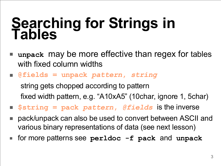#### **Searching for Strings in Tables**

- **unpack** may be more effective than regex for tables with fixed column widths
- **@fields = unpack** *pattern***,** *string* string gets chopped according to pattern fixed width pattern, e.g. "A10xA5" (10char, ignore 1, 5char)
- **\$string = pack** *pattern***,** *@fields* is the inverse
- pack/unpack can also be used to convert between ASCII and various binary representations of data (see next lesson)
- for more patterns see **perldoc -f pack** and **unpack**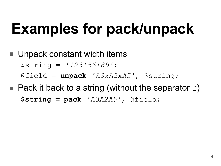# **Examples for pack/unpack**

- Unpack constant width items \$string = *'123I56I89'*; @field = **unpack** *'A3xA2xA5'*, \$string;
- Pack it back to a string (without the separator *I*) **\$string = pack** *'A3A2A5'*, @field;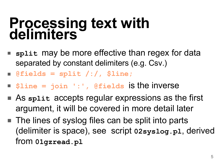#### **Processing text with delimiters**

- split may be more effective than regex for data separated by constant delimiters (e.g. Csv.)
- **@fields = split /:/, \$line;**
- **\$line = join ':' , @fields** is the inverse
- As split accepts regular expressions as the first argument, it will be covered in more detail later
- The lines of syslog files can be split into parts (delimiter is space), see script **02syslog.pl**, derived from **01gzread.pl**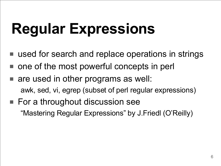# **Regular Expressions**

- used for search and replace operations in strings
- one of the most powerful concepts in perl
- are used in other programs as well: awk, sed, vi, egrep (subset of perl regular expressions)
- For a throughout discussion see "Mastering Regular Expressions" by J.Friedl (O'Reilly)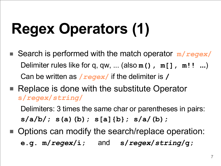# **Regex Operators (1)**

- Search is performed with the match operator m/*regex*/ Delimiter rules like for q, qw, ... (also **m(), m[], m!! ...**) Can be written as **/***regex***/** if the delimiter is **/**
- Replace is done with the substitute Operator **s/***regex***/***string***/**

Delimiters: 3 times the same char or parentheses in pairs: **s/a/b/; s(a)(b); s[a]{b}; s/a/(b);**

■ Options can modify the search/replace operation: **e.g. m/***regex***/i;** and **s/***regex***/***string***/g;**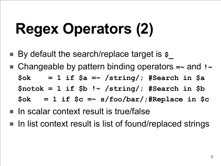# **Regex Operators (2)**

- By default the search/replace target is \$
- Changeable by pattern binding operators = and **! \$ok = 1 if \$a =~ /string/; #Search in \$a \$notok = 1 if \$b !~ /string/; #Search in \$b \$ok = 1 if \$c =~ s/foo/bar/;#Replace in \$c**
- In scalar context result is true/false
- In list context result is list of found/replaced strings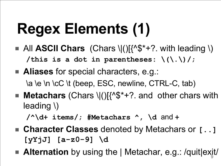# **Regex Elements (1)**

- $\blacksquare$  All **ASCII Chars** (Chars \|()[{^\$\*+?. with leading \) **/this is a dot in parentheses: \(\.\)/;**
- **Aliases** for special characters, e.g.: \a \e \n \cC \t (beep, ESC, newline, CTRL-C, tab)
- **Metachars** (Chars \|()[{^\$\*+? and other chars with leading \)

**/^\d+ items/; #Metachars ^ , \d** and **+**

- **Character Classes** denoted by Metachars or [...] **[yYjJ] [a-z0-9] \d**
- $\overline{9}$ ■ **Alternation** by using the | Metachar, e.g.: /quit|exit/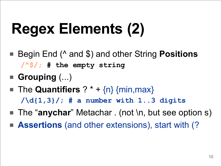# **Regex Elements (2)**

- Begin End (^ and \$) and other String **Positions /^\$/; # the empty string**
- **Grouping** (...)
- The **Quantifiers**  $?$   $*$  +  $\{n\}$   $\{min,max\}$ **/\d{1,3}/; # a number with 1..3 digits**
- The "**anychar**" Metachar . (not \n, but see option s)
- **Assertions** (and other extensions), start with (?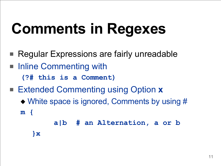# **Comments in Regexes**

- Regular Expressions are fairly unreadable
- Inline Commenting with **(?# this is a Comment)**
- Extended Commenting using Option **x** 
	- ◆ White space is ignored, Comments by using # **m {**

```
a|b # an Alternation, a or b
```
**}x**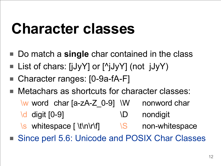### **Character classes**

- Do match a **single** char contained in the class
- List of chars:  $[jJyY]$  or  $[^{A}jJyY]$  (not  $jJyY$ )
- Character ranges: [0-9a-fA-F]
- Metachars as shortcuts for character classes: \w word char [a-zA-Z\_0-9] \W nonword char \d digit [0-9] \D nondigit \s whitespace [ \t\n\r\f] \S non-whitespace
- Since perl 5.6: Unicode and POSIX Char Classes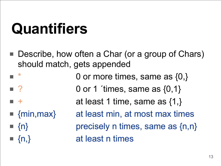### **Quantifiers**

- Describe, how often a Char (or a group of Chars) should match, gets appended
- 0 or more times, same as  $\{0,\}$  $\blacksquare$  ? 0 or 1 ´times, same as  $\{0,1\}$
- + at least 1 time, same as {1,}
- 
- 
- 

■ {min, max} at least min, at most max times  $\blacksquare$  {n} precisely n times, same as {n,n}  $\{n_i\}$  at least n times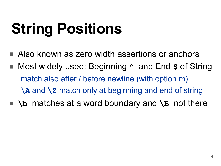# **String Positions**

- Also known as zero width assertions or anchors
- Most widely used: Beginning  $\sim$  and End  $\frac{1}{2}$  of String match also after / before newline (with option m) **\A** and **\Z** match only at beginning and end of string
- **\b** matches at a word boundary and **\B** not there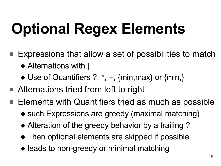# **Optional Regex Elements**

- Expressions that allow a set of possibilities to match ◆ Alternations with |
	- ◆ Use of Quantifiers ?, \*, +, {min, max} or {min,}
- Alternations tried from left to right
- Elements with Quantifiers tried as much as possible
	- ◆ such Expressions are greedy (maximal matching)
	- ◆ Alteration of the greedy behavior by a trailing ?
	- ◆ Then optional elements are skipped if possible
	- ◆ leads to non-greedy or minimal matching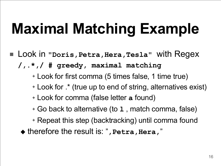# **Maximal Matching Example**

- Look in "Doris, Petra, Hera, Tesla" with Regex **/,.\* ,/ # greedy, maximal matching**
	- ✦ Look for first comma (5 times false, 1 time true)
	- ✦ Look for .\* (true up to end of string, alternatives exist)
	- ✦ Look for comma (false letter **a** found)
	- ✦ Go back to alternative (to **l** , match comma, false)
	- ✦ Repeat this step (backtracking) until comma found
	- ◆ therefore the result is: ", Petra, Hera,"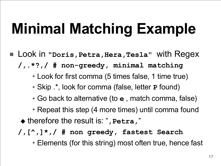# **Minimal Matching Example**

- Look in "Doris, Petra, Hera, Tesla" with Regex **/,.\*?,/ # non-greedy, minimal matching**
	- ✦ Look for first comma (5 times false, 1 time true)
	- ✦ Skip .\* , look for comma (false, letter **P** found)
	- ✦ Go back to alternative (to **e** , match comma, false)
	- ✦ Repeat this step (4 more times) until comma found
	- ◆ therefore the result is: " **,Petra,** "
	- **/,[^ ,]\* ,/ # non greedy, fastest Search**

✦ Elements (for this string) most often true, hence fast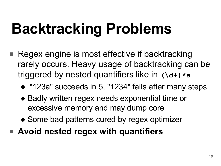# **Backtracking Problems**

- Regex engine is most effective if backtracking rarely occurs. Heavy usage of backtracking can be triggered by nested quantifiers like in **(\d+)\*a**
	- ◆ "123a" succeeds in 5, "1234" fails after many steps
	- ◆ Badly written regex needs exponential time or excessive memory and may dump core
	- ◆ Some bad patterns cured by regex optimizer
- **Avoid nested regex with quantifiers**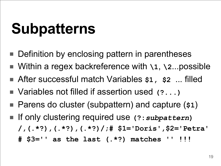### **Subpatterns**

- Definition by enclosing pattern in parentheses
- Within a regex backreference with **\1**, **\2**...possible
- After successful match Variables \$1, \$2 ... filled
- Variables not filled if assertion used (?...)
- Parens do cluster (subpattern) and capture (\$1)
- If only clustering required use (?: *subpattern*) **/,(.\*?),(.\*?),(.\*?)/;# \$1='Doris' ,\$2='Petra' # \$3='' as the last (.\*?) matches '' !!!**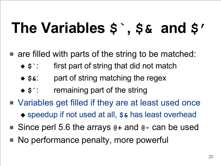### **The Variables \$` , \$& and \$'**

- $\blacksquare$  are filled with parts of the string to be matched:
	- ◆ **\$`**: first part of string that did not match
	- ◆ **\$&**: part of string matching the regex
	- ◆ **\$´**: remaining part of the string
- Variables get filled if they are at least used once ◆ speedup if not used at all,  $$$$  has least overhead
- Since perl 5.6 the arrays  $e+$  and  $e-$  can be used
- No performance penalty, more powerful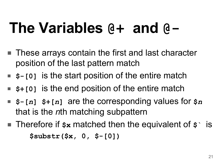### **The Variables @+ and @-**

- These arrays contain the first and last character position of the last pattern match
- **\$-[0]** is the start position of the entire match
- \$+[0] is the end position of the entire match
- **\$-[***n***] \$+[***n***]** are the corresponding values for **\$***n* that is the *n*th matching subpattern
- Therefore if  $\beta$ **x** matched then the equivalent of  $\beta$  is **\$substr(\$x, 0, \$-[0])**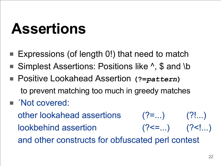### **Assertions**

- Expressions (of length 0!) that need to match
- Simplest Assertions: Positions like ^, \$ and \b
- Positive Lookahead Assertion (?=*pattern*) to prevent matching too much in greedy matches
- *Not covered:*

other lookahead assertions  $(?)$ =...) (?!...) lookbehind assertion (?<=...) (?<!...) and other constructs for obfuscated perl contest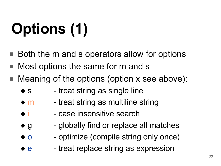# **Options (1)**

- Both the m and s operators allow for options
- Most options the same for m and s
- Meaning of the options (option x see above):
	- $\bullet$  s treat string as single line
	- $\bullet$  m treat string as multiline string
	- $\bullet$  i case insensitive search
	- $\bullet$  g globally find or replace all matches
	- ◆ o optimize (compile string only once)
	- ◆ e → treat replace string as expression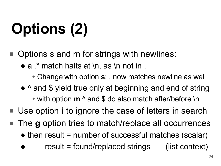# **Options (2)**

- Options s and m for strings with newlines:
	- $\bullet$  a  $\cdot$  match halts at \n, as \n not in .
		- ✦ Change with option **s**: . now matches newline as well
	- ◆ ^ and \$ yield true only at beginning and end of string ✦ with option **m** ^ and \$ do also match after/before \n
- Use option *i* to ignore the case of letters in search
- The **g** option tries to match/replace all occurrences  $\triangle$  then result = number of successful matches (scalar)
	- $result = found/replaced strings$  (list context)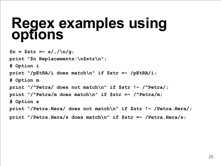#### **Regex examples using options**

```
$n = $str =~ s/,/\n/g;
print "$n Replacements:\n$str\n";
# Option i
print "/pEtRA/i does match\n" if $str =~ /pEtRA/i;
# Option m
print "/^Petra/ does not match\n" if $str !~ /^Petra/;
print "/^Petra/m does match\n" if $str =~ /^Petra/m;
# Option s
print "/Petra.Hera/ does not match\n" if $str !~ /Petra.Hera/;
print "/Petra.Hera/s does match\n" if $str =~ /Petra.Hera/s;
```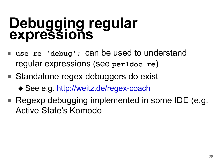#### **Debugging regular expressions**

- **use re** 'debug'; can be used to understand regular expressions (see **perldoc re**)
- Standalone regex debuggers do exist
	- ◆ See e.g. http://weitz.de/regex-coach
- Regexp debugging implemented in some IDE (e.g. Active State's Komodo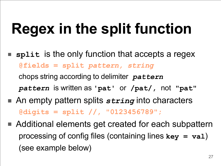# **Regex in the split function**

- split is the only function that accepts a regex **@fields = split** *pattern, string* chops string according to delimiter *pattern pattern* is written as **'pat'** or **/pat/,** not **"pat"**
- An empty pattern splits *string* into characters **@digits = split //, "0123456789";**
- Additional elements get created for each subpattern processing of config files (containing lines **key = val**) (see example below)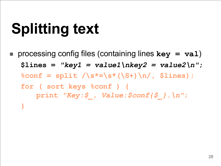# **Splitting text**

■ processing config files (containing lines **key = val**)  $$lines = "key1 = value1\hbox{ }nkey2 = value2\hbox{ }n";$ **%conf = split /\s\*=\s\*(\S+)\n/, \$lines); for ( sort keys %conf ) { print** *"Key:\$\_, Value:\$conf{\$\_}.\n"***; }**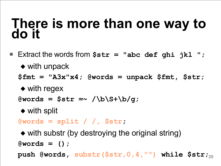#### **There is more than one way to do it**

- Extract the words from **\$str = "abc def ghi jkl ";** ◆ with unpack **\$fmt = "A3x"x4; @words = unpack \$fmt, \$str;**
	- ◆ with regex

**@words = \$str =~ /\b\S+\b/g;**

◆ with split

**@words = split / /, \$str;**

29 **push @words, substr(\$str,0,4, "") while \$str;**◆ with substr (by destroying the original string) **@words = ();**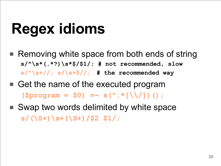# **Regex idioms**

- Removing white space from both ends of string **s/^\s\*(.\*?)\s\*\$/\$1/; # not recommended, slow s/^\s+//; s/\s+\$//; # the recommended way**
- Get the name of the executed program  $(\text{Sprogram} = \$0)$  =  $\sim$  **s**(^.\*[\\/])();
- Swap two words delimited by white space **s/(\S+)\s+(\S+)/\$2 \$1/;**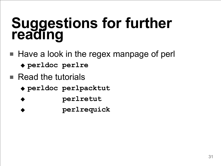#### **Suggestions for further reading**

- Have a look in the regex manpage of perl
	- ◆ **perldoc perlre**
- Read the tutorials
	- ◆ **perldoc perlpacktut**
	- ◆ **perlretut**
	- ◆ **perlrequick**